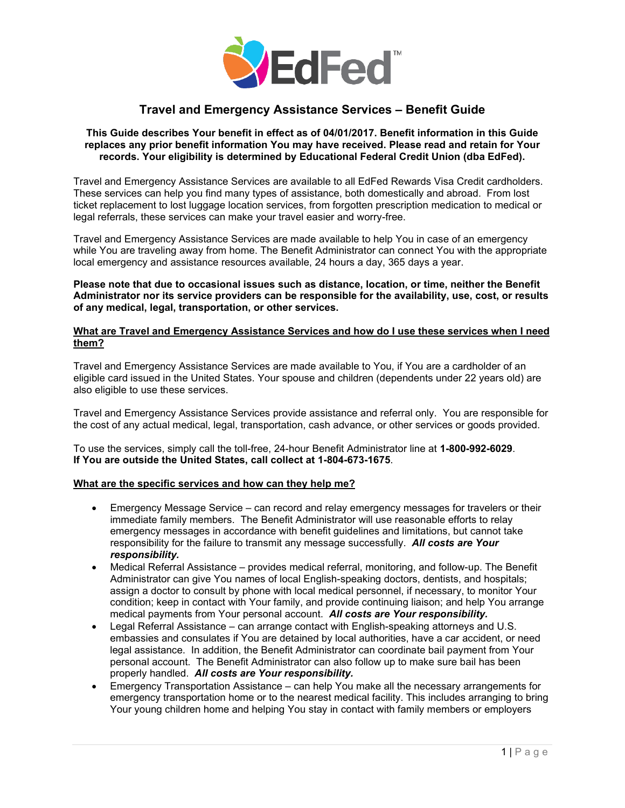

# **Travel and Emergency Assistance Services – Benefit Guide**

#### **This Guide describes Your benefit in effect as of 04/01/2017. Benefit information in this Guide replaces any prior benefit information You may have received. Please read and retain for Your records. Your eligibility is determined by Educational Federal Credit Union (dba EdFed).**

Travel and Emergency Assistance Services are available to all EdFed Rewards Visa Credit cardholders. These services can help you find many types of assistance, both domestically and abroad. From lost ticket replacement to lost luggage location services, from forgotten prescription medication to medical or legal referrals, these services can make your travel easier and worry-free.

Travel and Emergency Assistance Services are made available to help You in case of an emergency while You are traveling away from home. The Benefit Administrator can connect You with the appropriate local emergency and assistance resources available, 24 hours a day, 365 days a year.

**Please note that due to occasional issues such as distance, location, or time, neither the Benefit Administrator nor its service providers can be responsible for the availability, use, cost, or results of any medical, legal, transportation, or other services.** 

## **What are Travel and Emergency Assistance Services and how do I use these services when I need them?**

Travel and Emergency Assistance Services are made available to You, if You are a cardholder of an eligible card issued in the United States. Your spouse and children (dependents under 22 years old) are also eligible to use these services.

Travel and Emergency Assistance Services provide assistance and referral only. You are responsible for the cost of any actual medical, legal, transportation, cash advance, or other services or goods provided.

To use the services, simply call the toll-free, 24-hour Benefit Administrator line at **1-800-992-6029**. **If You are outside the United States, call collect at 1-804-673-1675**.

### **What are the specific services and how can they help me?**

- Emergency Message Service can record and relay emergency messages for travelers or their immediate family members. The Benefit Administrator will use reasonable efforts to relay emergency messages in accordance with benefit guidelines and limitations, but cannot take responsibility for the failure to transmit any message successfully. *All costs are Your responsibility.*
- Medical Referral Assistance – provides medical referral, monitoring, and follow-up. The Benefit Administrator can give You names of local English-speaking doctors, dentists, and hospitals; assign a doctor to consult by phone with local medical personnel, if necessary, to monitor Your condition; keep in contact with Your family, and provide continuing liaison; and help You arrange medical payments from Your personal account. *All costs are Your responsibility.*
- Legal Referral Assistance – can arrange contact with English-speaking attorneys and U.S. embassies and consulates if You are detained by local authorities, have a car accident, or need legal assistance. In addition, the Benefit Administrator can coordinate bail payment from Your personal account. The Benefit Administrator can also follow up to make sure bail has been properly handled. *All costs are Your responsibility.*
- Emergency Transportation Assistance – can help You make all the necessary arrangements for emergency transportation home or to the nearest medical facility. This includes arranging to bring Your young children home and helping You stay in contact with family members or employers